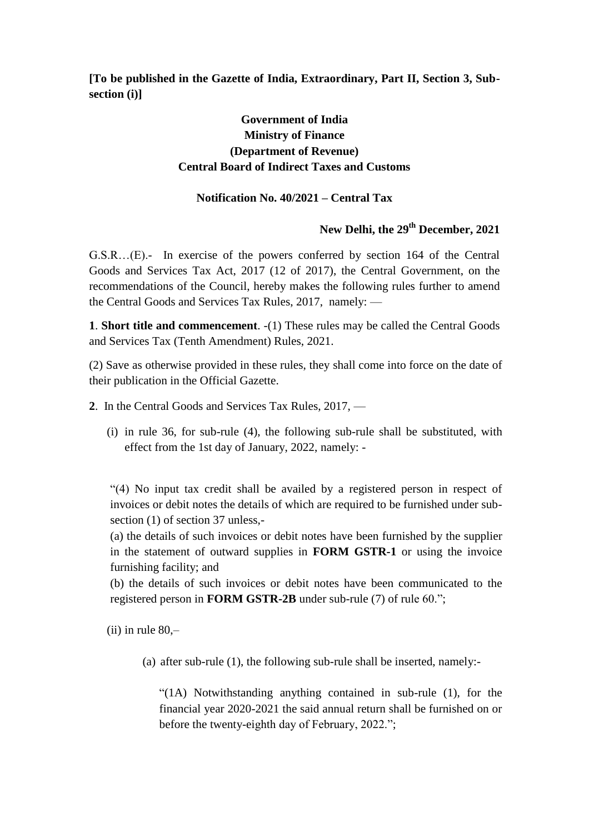**[To be published in the Gazette of India, Extraordinary, Part II, Section 3, Subsection (i)]**

# **Government of India Ministry of Finance (Department of Revenue) Central Board of Indirect Taxes and Customs**

### **Notification No. 40/2021 – Central Tax**

# **New Delhi, the 29th December, 2021**

G.S.R…(E).- In exercise of the powers conferred by section 164 of the Central Goods and Services Tax Act, 2017 (12 of 2017), the Central Government, on the recommendations of the Council, hereby makes the following rules further to amend the Central Goods and Services Tax Rules, 2017, namely: —

**1**. **Short title and commencement**. -(1) These rules may be called the Central Goods and Services Tax (Tenth Amendment) Rules, 2021.

(2) Save as otherwise provided in these rules, they shall come into force on the date of their publication in the Official Gazette.

- **2**. In the Central Goods and Services Tax Rules, 2017,
	- (i) in rule 36, for sub-rule (4), the following sub-rule shall be substituted, with effect from the 1st day of January, 2022, namely: -

―(4) No input tax credit shall be availed by a registered person in respect of invoices or debit notes the details of which are required to be furnished under subsection (1) of section 37 unless,-

(a) the details of such invoices or debit notes have been furnished by the supplier in the statement of outward supplies in **FORM GSTR-1** or using the invoice furnishing facility; and

(b) the details of such invoices or debit notes have been communicated to the registered person in **FORM GSTR-2B** under sub-rule (7) of rule 60.";

 $(ii)$  in rule 80,-

(a) after sub-rule (1), the following sub-rule shall be inserted, namely:-

 $\degree$ (1A) Notwithstanding anything contained in sub-rule (1), for the financial year 2020-2021 the said annual return shall be furnished on or before the twenty-eighth day of February, 2022.";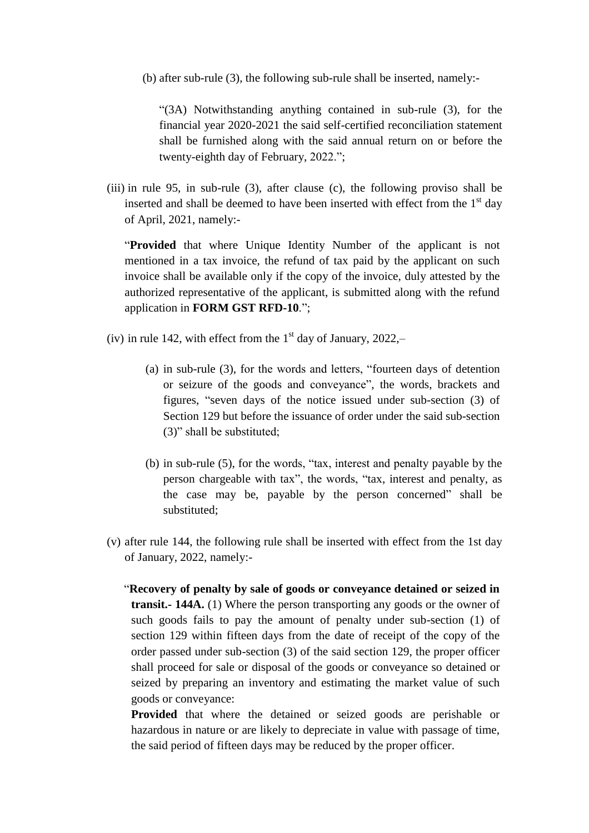(b) after sub-rule (3), the following sub-rule shall be inserted, namely:-

―(3A) Notwithstanding anything contained in sub-rule (3), for the financial year 2020-2021 the said self-certified reconciliation statement shall be furnished along with the said annual return on or before the twenty-eighth day of February, 2022.";

(iii) in rule 95, in sub-rule (3), after clause (c), the following proviso shall be inserted and shall be deemed to have been inserted with effect from the  $1<sup>st</sup>$  day of April, 2021, namely:-

"**Provided** that where Unique Identity Number of the applicant is not mentioned in a tax invoice, the refund of tax paid by the applicant on such invoice shall be available only if the copy of the invoice, duly attested by the authorized representative of the applicant, is submitted along with the refund application in **FORM GST RFD-10**.";

- (iv) in rule 142, with effect from the  $1<sup>st</sup>$  day of January, 2022,-
	- $(a)$  in sub-rule  $(3)$ , for the words and letters, "fourteen days of detention or seizure of the goods and conveyance", the words, brackets and figures, "seven days of the notice issued under sub-section (3) of Section 129 but before the issuance of order under the said sub-section  $(3)$ " shall be substituted;
	- (b) in sub-rule  $(5)$ , for the words, "tax, interest and penalty payable by the person chargeable with tax", the words, "tax, interest and penalty, as the case may be, payable by the person concerned" shall be substituted;
- (v) after rule 144, the following rule shall be inserted with effect from the 1st day of January, 2022, namely:-
	- ―**Recovery of penalty by sale of goods or conveyance detained or seized in transit.- 144A.** (1) Where the person transporting any goods or the owner of such goods fails to pay the amount of penalty under sub-section (1) of section 129 within fifteen days from the date of receipt of the copy of the order passed under sub-section (3) of the said section 129, the proper officer shall proceed for sale or disposal of the goods or conveyance so detained or seized by preparing an inventory and estimating the market value of such goods or conveyance:

**Provided** that where the detained or seized goods are perishable or hazardous in nature or are likely to depreciate in value with passage of time, the said period of fifteen days may be reduced by the proper officer.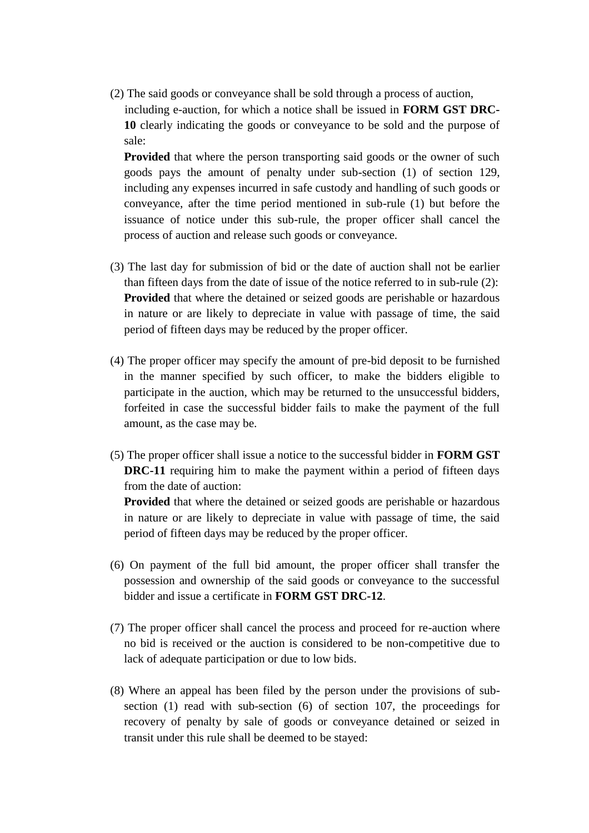(2) The said goods or conveyance shall be sold through a process of auction, including e-auction, for which a notice shall be issued in **FORM GST DRC-10** clearly indicating the goods or conveyance to be sold and the purpose of sale:

**Provided** that where the person transporting said goods or the owner of such goods pays the amount of penalty under sub-section (1) of section 129, including any expenses incurred in safe custody and handling of such goods or conveyance, after the time period mentioned in sub-rule (1) but before the issuance of notice under this sub-rule, the proper officer shall cancel the process of auction and release such goods or conveyance.

- (3) The last day for submission of bid or the date of auction shall not be earlier than fifteen days from the date of issue of the notice referred to in sub-rule (2): **Provided** that where the detained or seized goods are perishable or hazardous in nature or are likely to depreciate in value with passage of time, the said period of fifteen days may be reduced by the proper officer.
- (4) The proper officer may specify the amount of pre-bid deposit to be furnished in the manner specified by such officer, to make the bidders eligible to participate in the auction, which may be returned to the unsuccessful bidders, forfeited in case the successful bidder fails to make the payment of the full amount, as the case may be.
- (5) The proper officer shall issue a notice to the successful bidder in **FORM GST DRC-11** requiring him to make the payment within a period of fifteen days from the date of auction:

**Provided** that where the detained or seized goods are perishable or hazardous in nature or are likely to depreciate in value with passage of time, the said period of fifteen days may be reduced by the proper officer.

- (6) On payment of the full bid amount, the proper officer shall transfer the possession and ownership of the said goods or conveyance to the successful bidder and issue a certificate in **FORM GST DRC-12**.
- (7) The proper officer shall cancel the process and proceed for re-auction where no bid is received or the auction is considered to be non-competitive due to lack of adequate participation or due to low bids.
- (8) Where an appeal has been filed by the person under the provisions of subsection (1) read with sub-section (6) of section 107, the proceedings for recovery of penalty by sale of goods or conveyance detained or seized in transit under this rule shall be deemed to be stayed: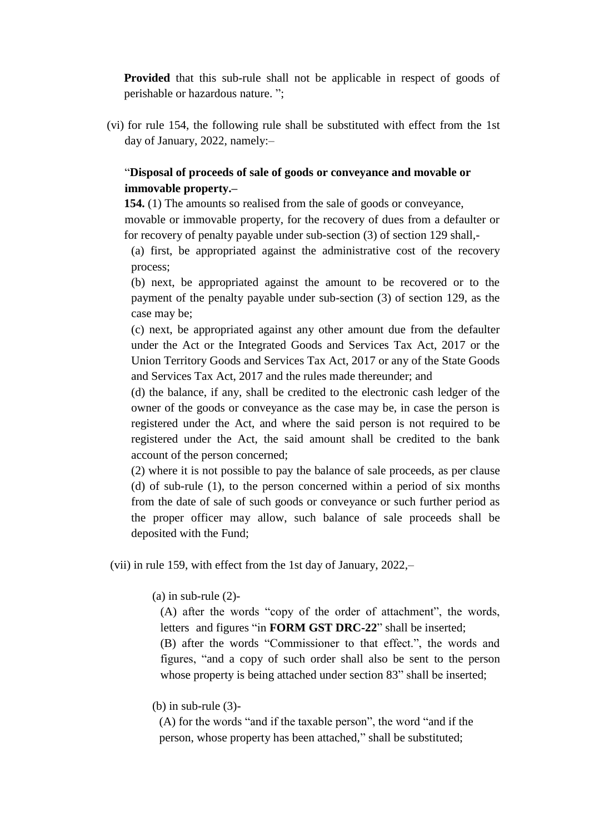**Provided** that this sub-rule shall not be applicable in respect of goods of perishable or hazardous nature. ";

(vi) for rule 154, the following rule shall be substituted with effect from the 1st day of January, 2022, namely:–

# ―**Disposal of proceeds of sale of goods or conveyance and movable or immovable property.–**

**154.** (1) The amounts so realised from the sale of goods or conveyance,

movable or immovable property, for the recovery of dues from a defaulter or for recovery of penalty payable under sub-section (3) of section 129 shall,-

(a) first, be appropriated against the administrative cost of the recovery process;

(b) next, be appropriated against the amount to be recovered or to the payment of the penalty payable under sub-section (3) of section 129, as the case may be;

(c) next, be appropriated against any other amount due from the defaulter under the Act or the Integrated Goods and Services Tax Act, 2017 or the Union Territory Goods and Services Tax Act, 2017 or any of the State Goods and Services Tax Act, 2017 and the rules made thereunder; and

(d) the balance, if any, shall be credited to the electronic cash ledger of the owner of the goods or conveyance as the case may be, in case the person is registered under the Act, and where the said person is not required to be registered under the Act, the said amount shall be credited to the bank account of the person concerned;

(2) where it is not possible to pay the balance of sale proceeds, as per clause (d) of sub-rule (1), to the person concerned within a period of six months from the date of sale of such goods or conveyance or such further period as the proper officer may allow, such balance of sale proceeds shall be deposited with the Fund;

(vii) in rule 159, with effect from the 1st day of January, 2022,–

 $(a)$  in sub-rule  $(2)$ -

 $(A)$  after the words "copy of the order of attachment", the words, letters and figures "in **FORM GST DRC-22**" shall be inserted; (B) after the words "Commissioner to that effect.", the words and figures, "and a copy of such order shall also be sent to the person whose property is being attached under section 83" shall be inserted;

## $(b)$  in sub-rule  $(3)$ -

 $(A)$  for the words "and if the taxable person", the word "and if the person, whose property has been attached," shall be substituted;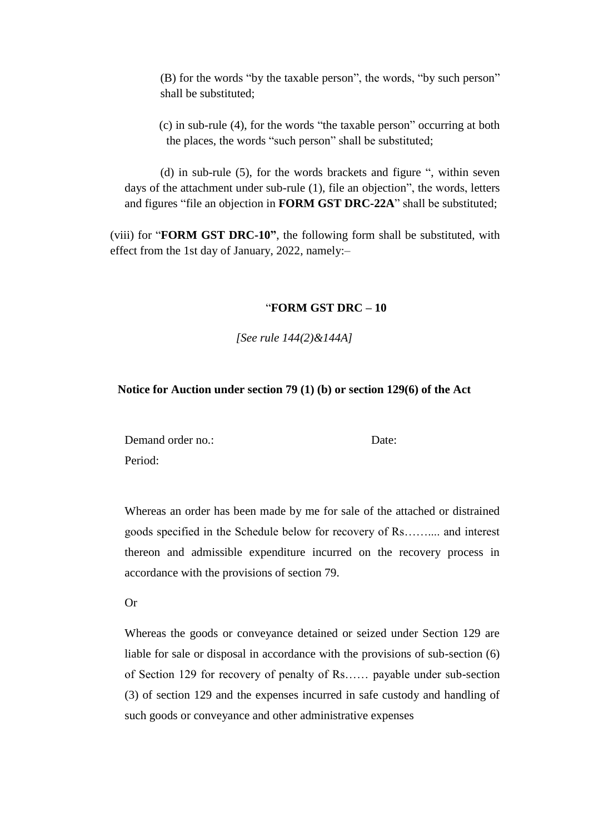(B) for the words "by the taxable person", the words, "by such person" shall be substituted;

 $(c)$  in sub-rule  $(4)$ , for the words "the taxable person" occurring at both the places, the words "such person" shall be substituted;

(d) in sub-rule  $(5)$ , for the words brackets and figure  $\cdot$ , within seven days of the attachment under sub-rule  $(1)$ , file an objection", the words, letters and figures "file an objection in **FORM GST DRC-22A**" shall be substituted;

(viii) for "**FORM GST DRC-10"**, the following form shall be substituted, with effect from the 1st day of January, 2022, namely:–

#### ―**FORM GST DRC – 10**

*[See rule 144(2)&144A]*

#### **Notice for Auction under section 79 (1) (b) or section 129(6) of the Act**

Demand order no.: Date: Date: Period:

Whereas an order has been made by me for sale of the attached or distrained goods specified in the Schedule below for recovery of Rs…….... and interest thereon and admissible expenditure incurred on the recovery process in accordance with the provisions of section 79.

Or

Whereas the goods or conveyance detained or seized under Section 129 are liable for sale or disposal in accordance with the provisions of sub-section (6) of Section 129 for recovery of penalty of Rs…… payable under sub-section (3) of section 129 and the expenses incurred in safe custody and handling of such goods or conveyance and other administrative expenses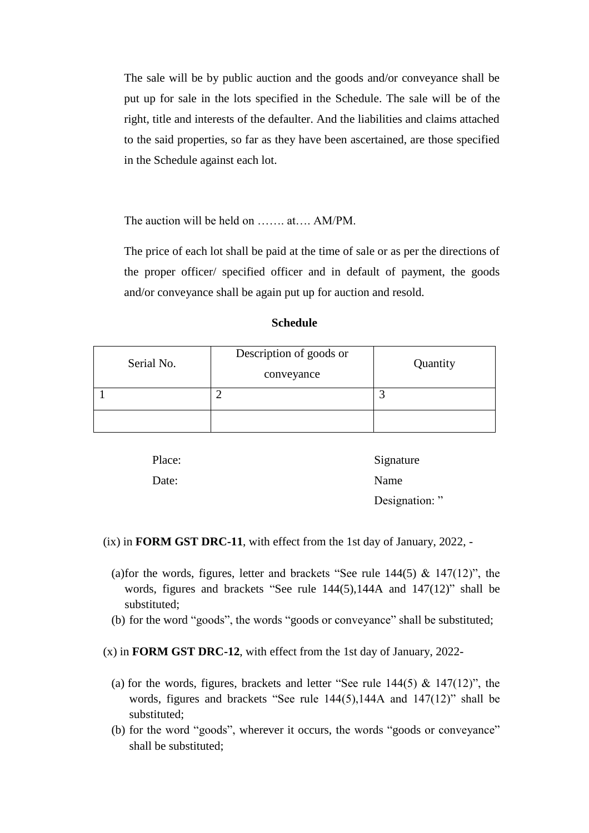The sale will be by public auction and the goods and/or conveyance shall be put up for sale in the lots specified in the Schedule. The sale will be of the right, title and interests of the defaulter. And the liabilities and claims attached to the said properties, so far as they have been ascertained, are those specified in the Schedule against each lot.

The auction will be held on …….. at…. AM/PM.

The price of each lot shall be paid at the time of sale or as per the directions of the proper officer/ specified officer and in default of payment, the goods and/or conveyance shall be again put up for auction and resold.

| Schedule |  |
|----------|--|
|          |  |

| Serial No. | Description of goods or<br>conveyance | Quantity |
|------------|---------------------------------------|----------|
|            |                                       |          |
|            |                                       |          |

| Place: | Signature     |
|--------|---------------|
| Date:  | Name          |
|        | Designation:" |

(ix) in **FORM GST DRC-11**, with effect from the 1st day of January, 2022, -

- (a)for the words, figures, letter and brackets "See rule  $144(5)$  &  $147(12)$ ", the words, figures and brackets "See rule  $144(5)$ ,  $144A$  and  $147(12)$ " shall be substituted;
- (b) for the word "goods", the words "goods or conveyance" shall be substituted;
- (x) in **FORM GST DRC-12**, with effect from the 1st day of January, 2022-
	- (a) for the words, figures, brackets and letter "See rule  $144(5)$  &  $147(12)$ ", the words, figures and brackets "See rule  $144(5)$ , 144A and  $147(12)$ " shall be substituted;
	- (b) for the word "goods", wherever it occurs, the words "goods or conveyance" shall be substituted;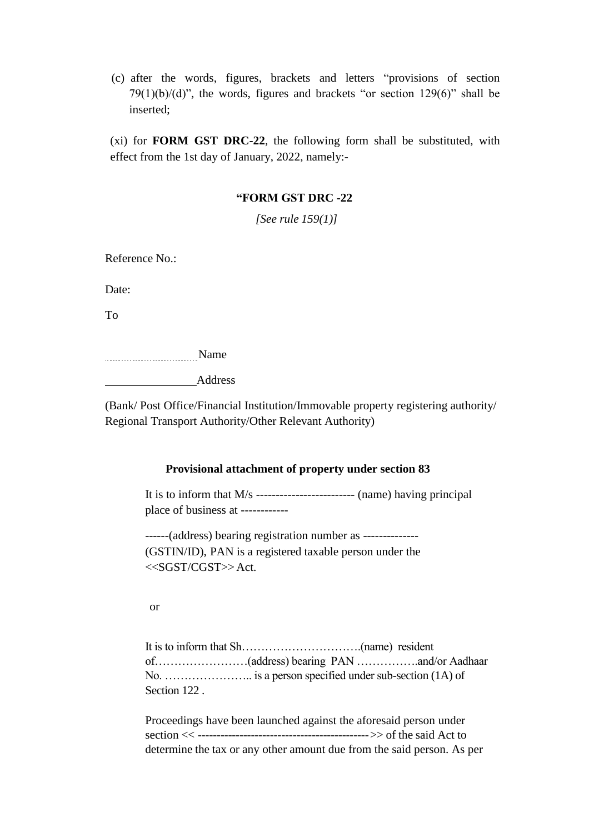(c) after the words, figures, brackets and letters "provisions of section 79(1)(b)/(d)", the words, figures and brackets "or section  $129(6)$ " shall be inserted;

(xi) for **FORM GST DRC-22**, the following form shall be substituted, with effect from the 1st day of January, 2022, namely:-

### **"FORM GST DRC -22**

*[See rule 159(1)]*

Reference No.:

Date:

To

Name

and **Address** 

(Bank/ Post Office/Financial Institution/Immovable property registering authority/ Regional Transport Authority/Other Relevant Authority)

#### **Provisional attachment of property under section 83**

It is to inform that M/s ------------------------- (name) having principal place of business at ------------

------(address) bearing registration number as -------------- (GSTIN/ID), PAN is a registered taxable person under the  $<<$ SGST/CGST $>>$ Act.

or

|              | No. $\dots$ $\dots$ $\dots$ $\dots$ $\dots$ $\dots$ is a person specified under sub-section (1A) of |  |
|--------------|-----------------------------------------------------------------------------------------------------|--|
| Section 122. |                                                                                                     |  |

Proceedings have been launched against the aforesaid person under section << --------------------------------------------->> of the said Act to determine the tax or any other amount due from the said person. As per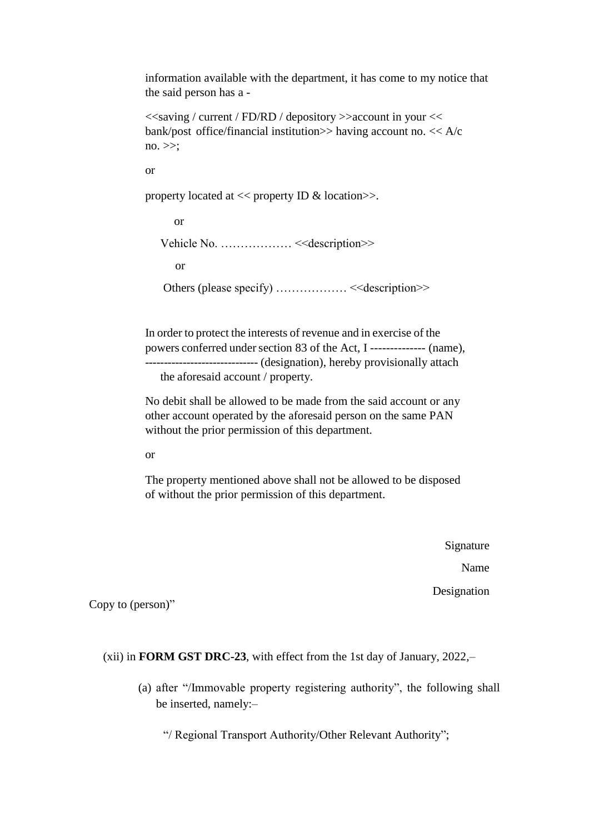information available with the department, it has come to my notice that the said person has a -

```
<<saving / current / FD/RD / depository >>account in your << 
bank/post office/financial institution \gg having account no. << A/cno. \gg;
```
or

property located at  $<<$  property ID & location $>>$ .

 or Vehicle No. ……………… <<description>> or Others (please specify) ..................<<<description>>

> In order to protect the interests of revenue and in exercise of the powers conferred under section 83 of the Act, I -------------- (name), ------------------------------ (designation), hereby provisionally attach the aforesaid account / property.

No debit shall be allowed to be made from the said account or any other account operated by the aforesaid person on the same PAN without the prior permission of this department.

or

The property mentioned above shall not be allowed to be disposed of without the prior permission of this department.

> Signature Name Designation

Copy to (person)"

(xii) in **FORM GST DRC-23**, with effect from the 1st day of January, 2022,–

(a) after "/Immovable property registering authority", the following shall be inserted, namely:–

"/ Regional Transport Authority/Other Relevant Authority";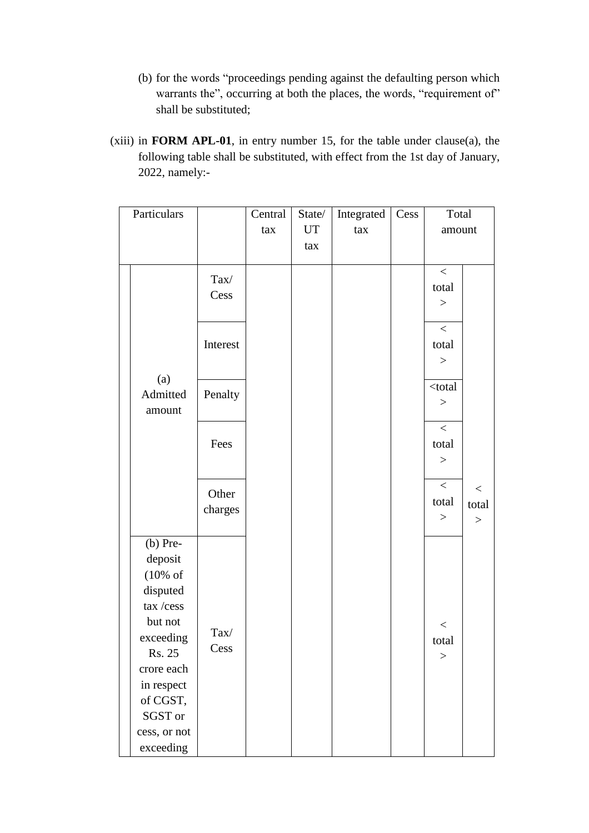- (b) for the words "proceedings pending against the defaulting person which warrants the", occurring at both the places, the words, "requirement of" shall be substituted;
- (xiii) in **FORM APL-01**, in entry number 15, for the table under clause(a), the following table shall be substituted, with effect from the 1st day of January, 2022, namely:-

| Particulars         |          | Central | State/ | Integrated | Cess | Total     |                  |
|---------------------|----------|---------|--------|------------|------|-----------|------------------|
|                     |          | tax     | UT     | tax        |      | amount    |                  |
|                     |          |         | tax    |            |      |           |                  |
|                     |          |         |        |            |      | $\,<$     |                  |
|                     | Tax/     |         |        |            |      | total     |                  |
|                     | Cess     |         |        |            |      | >         |                  |
|                     |          |         |        |            |      |           |                  |
|                     |          |         |        |            |      | $\,<$     |                  |
|                     | Interest |         |        |            |      | total     |                  |
|                     |          |         |        |            |      | $\,>$     |                  |
| (a)                 |          |         |        |            |      | $<$ total |                  |
| Admitted            | Penalty  |         |        |            |      | $\rm{>}$  |                  |
| amount              |          |         |        |            |      |           |                  |
|                     |          |         |        |            |      | $\,<$     |                  |
|                     | Fees     |         |        |            |      | total     |                  |
|                     |          |         |        |            |      | $\rm{>}$  |                  |
|                     |          |         |        |            |      | $\,<\,$   |                  |
|                     | Other    |         |        |            |      | total     | $\,<\,$<br>total |
|                     | charges  |         |        |            |      | $\,>$     |                  |
|                     |          |         |        |            |      |           | $\,>$            |
| $(b)$ Pre-          |          |         |        |            |      |           |                  |
| deposit             |          |         |        |            |      |           |                  |
| $(10\% \text{ of }$ |          |         |        |            |      |           |                  |
| disputed            |          |         |        |            |      |           |                  |
| tax/cess            |          |         |        |            |      |           |                  |
| but not             | Tax/     |         |        |            |      | $<\,$     |                  |
| exceeding           | Cess     |         |        |            |      | total     |                  |
| Rs. 25              |          |         |        |            |      | $\rm{>}$  |                  |
| crore each          |          |         |        |            |      |           |                  |
| in respect          |          |         |        |            |      |           |                  |
| of CGST,            |          |         |        |            |      |           |                  |
| SGST or             |          |         |        |            |      |           |                  |
| cess, or not        |          |         |        |            |      |           |                  |
| exceeding           |          |         |        |            |      |           |                  |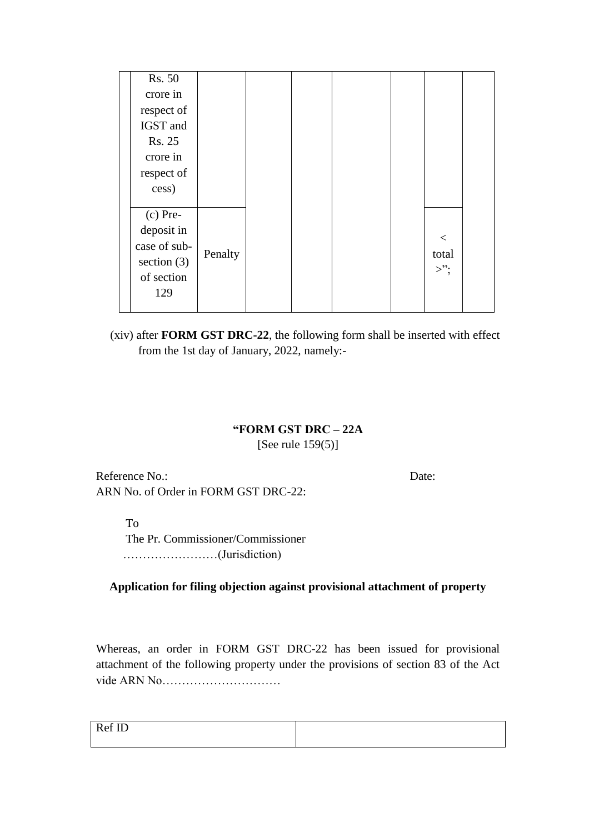| Rs. 50        |         |  |  |        |  |
|---------------|---------|--|--|--------|--|
| crore in      |         |  |  |        |  |
| respect of    |         |  |  |        |  |
| IGST and      |         |  |  |        |  |
| Rs. 25        |         |  |  |        |  |
| crore in      |         |  |  |        |  |
| respect of    |         |  |  |        |  |
| cess)         |         |  |  |        |  |
|               |         |  |  |        |  |
| $(c)$ Pre-    |         |  |  |        |  |
| deposit in    |         |  |  | $\lt$  |  |
| case of sub-  |         |  |  |        |  |
| section $(3)$ | Penalty |  |  | total  |  |
| of section    |         |  |  | $>$ "; |  |
| 129           |         |  |  |        |  |
|               |         |  |  |        |  |

(xiv) after **FORM GST DRC-22**, the following form shall be inserted with effect from the 1st day of January, 2022, namely:-

### **"FORM GST DRC – 22A**

[See rule 159(5)]

Reference No.: Date: ARN No. of Order in FORM GST DRC-22:

To

 The Pr. Commissioner/Commissioner ……………………(Jurisdiction)

**Application for filing objection against provisional attachment of property**

Whereas, an order in FORM GST DRC-22 has been issued for provisional attachment of the following property under the provisions of section 83 of the Act vide ARN No…………………………

| $\sim$ T <sub>p</sub><br>$\sqrt{ }$<br>--- |  |
|--------------------------------------------|--|
|                                            |  |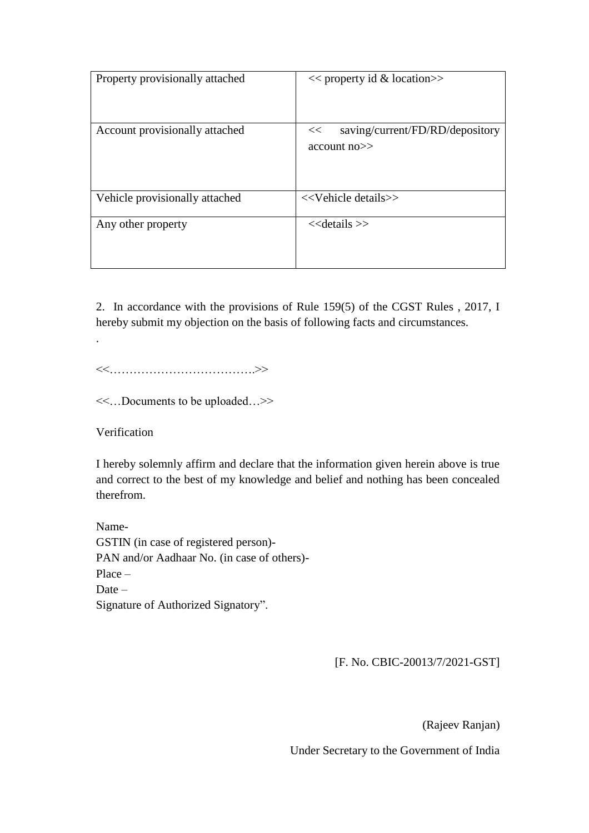| Property provisionally attached | $<<$ property id & location $>>$                           |
|---------------------------------|------------------------------------------------------------|
| Account provisionally attached  | saving/current/FD/RD/depository<br><<<br>$account no \geq$ |
| Vehicle provisionally attached  | < <vehicle details="">&gt;</vehicle>                       |
| Any other property              | $<<$ details $>>$                                          |

2. In accordance with the provisions of Rule 159(5) of the CGST Rules , 2017, I hereby submit my objection on the basis of following facts and circumstances.

<<……………………………….>>

<<…Documents to be uploaded…>>

Verification

.

I hereby solemnly affirm and declare that the information given herein above is true and correct to the best of my knowledge and belief and nothing has been concealed therefrom.

Name-GSTIN (in case of registered person)- PAN and/or Aadhaar No. (in case of others)- Place – Date – Signature of Authorized Signatory".

[F. No. CBIC-20013/7/2021-GST]

(Rajeev Ranjan)

Under Secretary to the Government of India